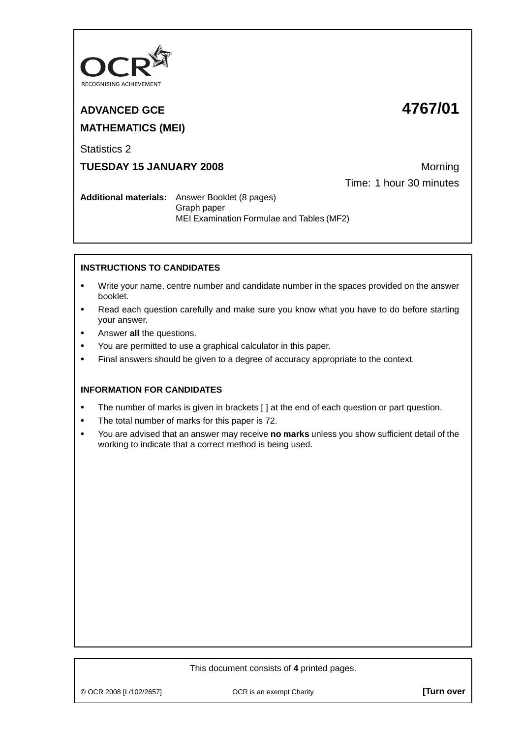

# **ADVANCED GCE 4767/01 MATHEMATICS (MEI)**

Statistics 2

**TUESDAY 15 JANUARY 2008** Morning

Time: 1 hour 30 minutes

**Additional materials:** Answer Booklet (8 pages) Graph paper MEI Examination Formulae and Tables (MF2)

## **INSTRUCTIONS TO CANDIDATES**

- **•** Write your name, centre number and candidate number in the spaces provided on the answer booklet.
- **•** Read each question carefully and make sure you know what you have to do before starting your answer.
- **•** Answer **all** the questions.
- **•** You are permitted to use a graphical calculator in this paper.
- **•** Final answers should be given to a degree of accuracy appropriate to the context.

### **INFORMATION FOR CANDIDATES**

- **•** The number of marks is given in brackets [ ] at the end of each question or part question.
- **•** The total number of marks for this paper is 72.
- **•** You are advised that an answer may receive **no marks** unless you show sufficient detail of the working to indicate that a correct method is being used.

#### This document consists of **4** printed pages.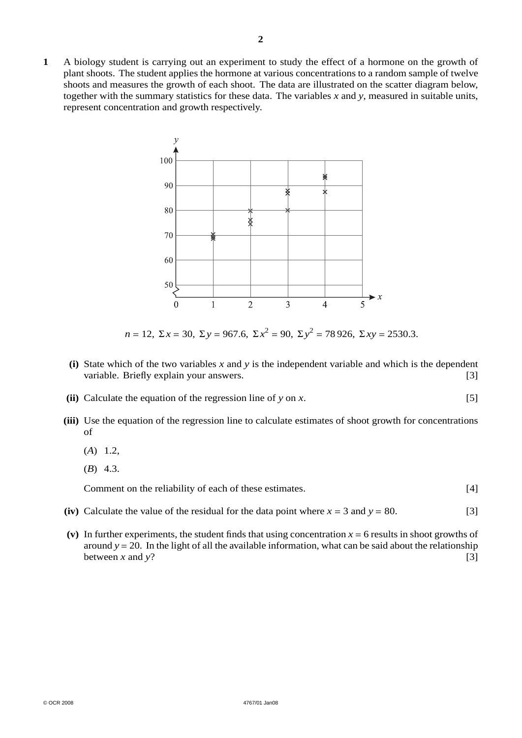**1** A biology student is carrying out an experiment to study the effect of a hormone on the growth of plant shoots. The student applies the hormone at various concentrations to a random sample of twelve shoots and measures the growth of each shoot. The data are illustrated on the scatter diagram below, together with the summary statistics for these data. The variables  $x$  and  $y$ , measured in suitable units, represent concentration and growth respectively.



*n* = 12, Σ*x* = 30, Σ*y* = 967.6, Σ*x*<sup>2</sup> = 90, Σ*y*<sup>2</sup> = 78 926, Σ*xy* = 2530.3.

- **(i)** State which of the two variables *x* and *y* is the independent variable and which is the dependent variable. Briefly explain your answers. [3]
- **(ii)** Calculate the equation of the regression line of *y* on *x*. [5]
- **(iii)** Use the equation of the regression line to calculate estimates of shoot growth for concentrations of
	- (*A*) 1.2,
	- (*B*) 4.3.

Comment on the reliability of each of these estimates. [4]

- **(iv)** Calculate the value of the residual for the data point where  $x = 3$  and  $y = 80$ . [3]
- (v) In further experiments, the student finds that using concentration  $x = 6$  results in shoot growths of around  $y = 20$ . In the light of all the available information, what can be said about the relationship between x and y? between  $x$  and  $y$ ?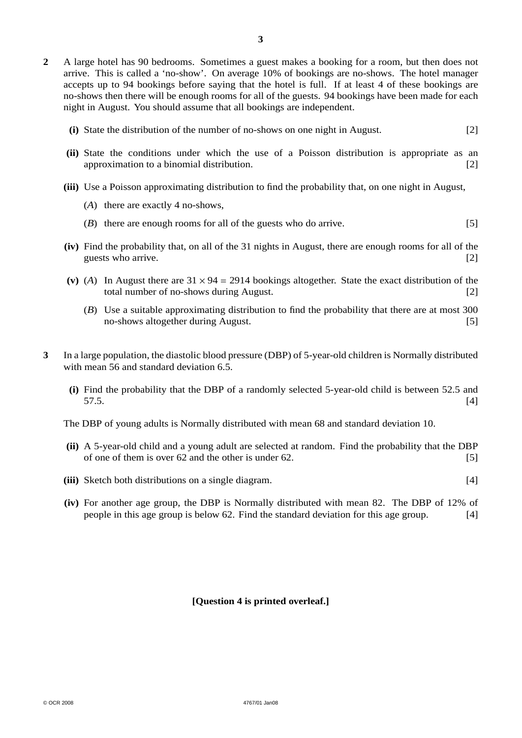- **2** A large hotel has 90 bedrooms. Sometimes a guest makes a booking for a room, but then does not arrive. This is called a 'no-show'. On average 10% of bookings are no-shows. The hotel manager accepts up to 94 bookings before saying that the hotel is full. If at least 4 of these bookings are no-shows then there will be enough rooms for all of the guests. 94 bookings have been made for each night in August. You should assume that all bookings are independent.
	- **(i)** State the distribution of the number of no-shows on one night in August. [2]
	- **(ii)** State the conditions under which the use of a Poisson distribution is appropriate as an approximation to a binomial distribution. [2]
	- **(iii)** Use a Poisson approximating distribution to find the probability that, on one night in August,
		- (*A*) there are exactly 4 no-shows,
		- (*B*) there are enough rooms for all of the guests who do arrive. [5]
	- **(iv)** Find the probability that, on all of the 31 nights in August, there are enough rooms for all of the guests who arrive. [2]
	- (v) (A) In August there are  $31 \times 94 = 2914$  bookings altogether. State the exact distribution of the total number of no-shows during August. [2] total number of no-shows during August.
		- (*B*) Use a suitable approximating distribution to find the probability that there are at most 300 no-shows altogether during August. [5]
- **3** In a large population, the diastolic blood pressure (DBP) of 5-year-old children is Normally distributed with mean 56 and standard deviation 6.5.
	- **(i)** Find the probability that the DBP of a randomly selected 5-year-old child is between 52.5 and  $57.5.$  [4]

The DBP of young adults is Normally distributed with mean 68 and standard deviation 10.

- **(ii)** A 5-year-old child and a young adult are selected at random. Find the probability that the DBP of one of them is over  $62$  and the other is under  $62$ . [5]
- **(iii)** Sketch both distributions on a single diagram. [4]
- **(iv)** For another age group, the DBP is Normally distributed with mean 82. The DBP of 12% of people in this age group is below 62. Find the standard deviation for this age group. [4]

#### **[Question 4 is printed overleaf.]**